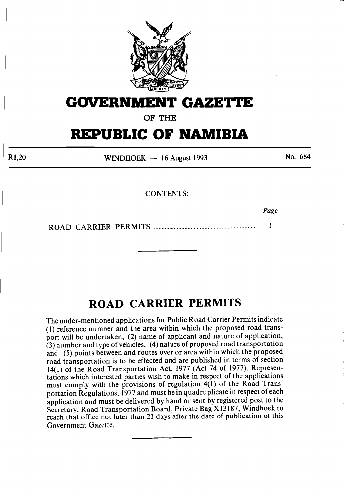

# **GOVERNMENT GAZETTE**

**OF THE** 

# **REPUBLIC OF NAMIBIA**

Rl,20

WINDHOEK - 16 August 1993

No. 684

## CONTENTS:

*Page* 

ROAD CARRIER PERMITS .................................................................. 1

## **ROAD CARRIER PERMITS**

The under-mentioned applications for Public Road Carrier Permits indicate ( 1) reference number and the area within which the proposed road transport will be undertaken, (2) name of applicant and nature of application, (3) number and type of vehicles, ( 4) nature of proposed road transportation and (5) points between and routes over or area within which the proposed road transportation is to be effected and are published in terms of section 14(1) of the Road Transportation Act, 1977 (Act 74 of 1977). Representations which interested parties wish to make in respect of the applications must comply with the provisions of regulation  $4(1)$  of the Road Transportation Regulations, 1977 and must be in quadruplicate in respect of each application and must be delivered by hand or sent by registered post to the Secretary, Road Transportation Board, Private Bag X13187, Windhoek to reach that office not later than 21 days after the date of publication of this Government Gazette.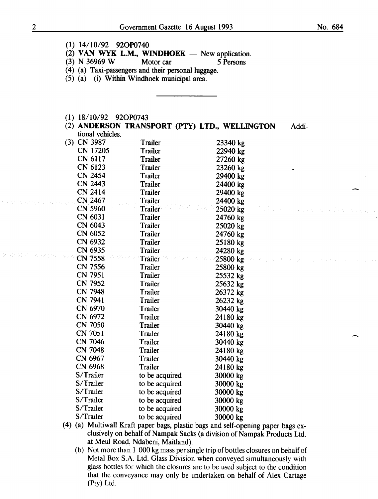- (1) 14/10/92 920P0740
- (2) VAN WYK L.M., WINDHOEK New application.<br>
(3) N 36969 W Motor car 5 Persons
- (3) N 36969 W Motor car *5* Persons
- (4) (a) Taxi-passengers and their personal luggage.
- (5) (a) (i) Within Windhoek municipal area.
- (1) 18/10/92 920P0743
- (2) ANDERSON TRANSPORT (PTY) LTD., WELLINGTON  $-$  Additional vehicles.

| (3) CN 3987                        | Trailer        | 23340 kg   |
|------------------------------------|----------------|------------|
| <b>CN 17205</b>                    | <b>Trailer</b> | 22940 kg   |
| CN 6117                            | <b>Trailer</b> | 27260 kg   |
| CN 6123                            | <b>Trailer</b> | 23260 kg   |
| <b>CN 2454</b>                     | <b>Trailer</b> | 29400 kg   |
| <b>CN 2443</b>                     | <b>Trailer</b> | 24400 kg   |
| CN 2414                            | <b>Trailer</b> | 29400 kg   |
| CN 2467                            | <b>Trailer</b> | 24400 kg   |
| <b>CN 5960</b>                     | Trailer        | 25020 kg   |
| CN 6031                            | Trailer        | 24760 kg   |
| CN 6043                            | <b>Trailer</b> | 25020 kg   |
| CN 6052                            | Trailer        | 24760 kg   |
| CN 6932                            | <b>Trailer</b> | 25180 kg   |
| CN 6935                            | <b>Trailer</b> | 24280 kg   |
| CN 7558                            | <b>Trailer</b> | $25800$ kg |
| CN 7556                            | Trailer        | 25800 kg   |
| CN 7951                            | Trailer        | 25532 kg   |
| <b>CN 7952</b>                     | Trailer        | 25632 kg   |
| <b>CN 7948</b>                     | <b>Trailer</b> | 26372 kg   |
| CN 7941                            | Trailer        | 26232 kg   |
| CN 6970                            | Trailer        | 30440 kg   |
| CN 6972                            | Trailer        | 24180 kg   |
| <b>CN 7050</b>                     | Trailer        | 30440 kg   |
| CN 7051                            | <b>Trailer</b> | 24180 kg   |
| <b>CN 7046</b>                     | Trailer        | 30440 kg   |
| <b>CN 7048</b>                     | Trailer        | 24180 kg   |
| CN 6967                            | Trailer        | 30440 kg   |
| CN 6968                            | Trailer        | 24180 kg   |
| S/Trailer                          | to be acquired | 30000 kg   |
| S/Trailer                          | to be acquired | 30000 kg   |
| S/Trailer                          | to be acquired | 30000 kg   |
| S/Trailer                          | to be acquired | 30000 kg   |
| S/Trailer                          | to be acquired | 30000 kg   |
| S/Trailer                          | to be acquired | 30000 kg   |
| $\lambda$ . The state of $\lambda$ |                |            |

- (4) (a) Multiwall Kraft paper bags, plastic bags and self-opening paper bags exclusively on behalf of Nampak Sacks (a division of Nampak Products Ltd. at Meul Road, Ndabeni, Maitland).
	- (b) Not more than 1 000 kg mass per single trip of bottles closures on behalf of Metal Box S.A. Ltd. Glass Division when conveyed simultaneously with glass bottles for which the closures are to be used subject to the condition that the conveyance may only be undertaken on behalf of Alex Cartage (Pty) Ltd.

ogens to except such a assign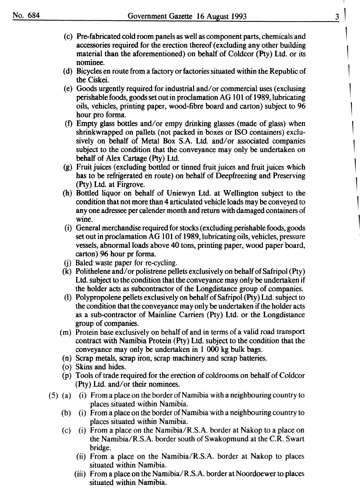- (c) Pre-fabricated cold room panels as well as component parts, chemicals and accessories required for the erection thereof (excluding any other building material than the aforementioned) on behalf of Coldcor (Pty) Ltd. or its nominee.
- (d) Bicycles en route from a factory or factories situated within the Republic of the Ciskei.
- (e) Goods urgently required for industrial and/ or commercial uses (exclusing perishable foods, goods set out in proclamation AG 101 of 1989, lubricating oils, vehicles, printing paper, wood-fibre board and carton) subject to 96 hour pro forma.
- (t) Empty glass bottles and/or empy drinking glasses (made of glass) when shrinkwrapped on pallets (not packed in boxes or ISO containers) exclusively on behalf of Metal Box S.A. Ltd. and/or associated companies subject to the condition that the conveyance may only be undertaken on behalf of Alex Cartage (Pty) Ltd.
- (g) Fruit juices (excluding bottled or tinned fruit juices and fruit juices which has to be refrigerated en route) on behalf of Deepfreezing and Preserving (Pty) Ltd. at Firgrove.
- (h) Bottled liquor on behalf of Uniewyn Ltd. at Wellington subject to the condition that not more than 4 articulated vehicle loads may be conveyed to any one adressee per calender month and return with damaged containers of wine.
- ( i) General merchandise required for stocks (excluding perishable foods, goods set out in proclamation AG 101 of 1989, lubricating oils, vehicles, pressure vessels, abnormal loads above 40 tons, printing paper, wood paper board, carton) 96 hour pr forma.
- (j) Baled waste paper for re-cycling.
- (k) Polithelene and/or polistrene pellets exclusively on behalf of Safripol (Pty) Ltd. subject to the condition that the conveyance may only be undertaken if the holder acts as subcontractor of the Longdistance group of companies.
- (1) Polypropolene pellets exclusively on behalf of Safripol (Pty) Ltd. subject to the condition that the conveyance rna y only be undertaken if the holder acts as a sub-contractor of Mainline Carriers (Pty) Ltd. or the Longdistance group of companies.
- (m) Protein base exclusively on behalf of and in terms of a valid road transport contract with Namibia Protein (Pty) Ltd. subject to the condition that the conveyance may only be undertaken in 1 000 kg bulk bags.
- (n) Scrap metals, scrap iron, scrap machinery and scrap batteries.
- ( o) Skins and hides.
- (p) Tools of trade required for the erection of coldrooms on behalf of Coldcor (Pty) Ltd. and/or their nominees.
- (5) (a) (i) From a place on the border of Namibia with a neighbouring country to places situated within Namibia.
	- (b) (i) From a place on the border of Namibia with a neighbouring country to places situated within Namibia.
	- (c) (i) From a place on the Namibia/R.S.A. border at Nakop to a place on the Namibia/R.S.A. border south of Swakopmund at the C.R. Swart bridge.
		- (ii) From a place on the Namibia/R.S.A. border at Nakop to places situated within Namibia.
		- (iii) From a place on the Namibia/R.S.A. border at Noordoewer to places situated within Namibia.

1

1

1

1

1

1

1

1

1

1

1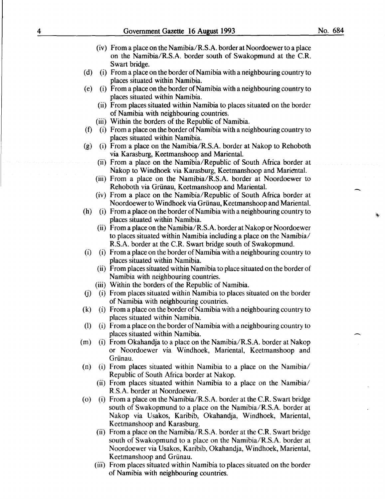- (iv) From a place on the Namibia/R.S.A. border at Noordoewer to a place on the Namibia/R.S.A. border south of Swakopmund at the C.R. Swart bridge.
- (d) (i) From a place on the border of Namibia with a neighbouring country to places situated within Namibia.
- (e) (i) From a place on the border of Namibia with a neighbouring country to places situated within Namibia.
	- (ii) From places situated within Namibia to places situated on the border of Namibia with neighbouring countries.
	- (iii) Within the borders of the Republic of Namibia.
- (f) (i) From a place on the border of Namibia with a neighbouring country to places situated within Namibia.
- (g) (i) From a place on the Namibia/R.S.A. border at Nakop to Rehoboth via Karasburg, Keetmanshoop and Mariental.
	- (ii) From a place on the Namibia/Republic of South Africa border at Nakop to Windhoek via Karasburg, Keetmanshoop and Mariental.
	- (iii) From a place on the Namibia/R.S.A. border at Noordoewer to Rehoboth via Griinau, Keetmanshoop and Mariental.
	- (iv) From a place on the Namibia/Republic of South Africa border at Noordoewer to Windhoek via Griinau, Keetmanshoop and Mariental.
- (h) (i) From a place on the border of Namibia with a neighbouring country to places situated within Namibia.
	- (ii) From a place on the Namibia/R.S.A. border at Nakop or Noordoewer to places situated within Namibia including a place on the Namibia/ R.S.A. border at the C.R. Swart bridge south of Swakopmund.
- (i) (i) From a place on the border of Namibia with a neighbouring country to places situated within Namibia.
	- (ii) From places situated within Namibia to place situated on the border of Namibia with neighbouring countries.
	- (iii) Within the borders of the Republic of Namibia.
- (j) (i) From places situated within Namibia to places situated on the border of Namibia with neighbouring countries.
- (k) (i) From a place on the border of Namibia with a neighbouring country to places situated within Namibia.
- (1) (i) From a place on the border of Namibia with a neighbouring country to places situated within Namibia.
- (m) (i) From Okahandja to a place on the Namibia/R.S.A. border at Nakop or Noordoewer via Windhoek, Mariental, Keetmanshoop and Griinau.
- (n) (i) From places situated within Namibia to a place on the Namibia/ Republic of South Africa border at Nakop.
	- (ii) From places situated within Namibia to a place on the Namibia/ R.S.A. border at Noordoewer.
- (o) (i) From a place on the Namibia/R.S.A. border at the C.R. Swart bridge south of Swakopmund to a place on the Namibia/R.S.A. border at Nakop via Usakos, Karibib, Okahandja, Windhoek, Mariental, Keetmanshoop and Karasburg.
	- (ii) From a place on the Namibia/R.S.A. border at the C.R. Swart bridge south of Swakopmund to a place on the Namibia/R.S.A. border at Noordoewer via Usakos, Karibib, Okahandja, Windhoek, Mariental, Keetmanshoop and Griinau.
	- (iii) From places situated within Namibia to places situated on the border of Namibia with neighbouring countries.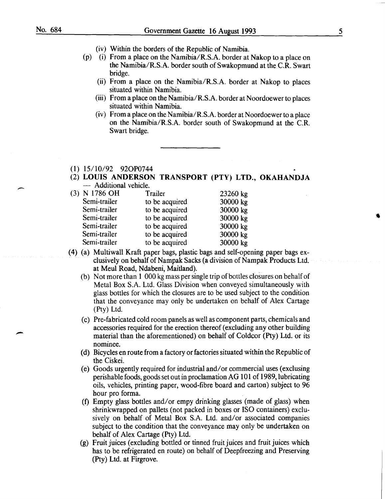$\overline{\phantom{a}}$ 

-

- (iv) Within the borders of the Republic of Namibia.
- (p) (i) From a place on the Namibia/R.S.A. border at Nakop to a place on the Namibia/R.S.A. border south of Swakopmund at the C.R. Swart bridge.
	- (ii) From a place on the Namibia/R.S.A. border at Nakop to places situated within Namibia.
	- (iii) From a place on the Namibia/R.S.A. border at Noordoewer to places situated within Namibia.
	- (iv) From a place on the Namibia/R.S.A. border at Noordoewer to a place on the Namibia/R.S.A. border south of Swakopmund at the C.R. Swart bridge.

### (1) 15/10/92 920P0744

(2) LOUIS ANDERSON TRANSPORT (PTY) LTD., OKAHANDJA - Additional vehicle.

| (3) N 1786 OH | Trailer        | 23260 kg |
|---------------|----------------|----------|
| Semi-trailer  | to be acquired | 30000 kg |
| Semi-trailer  | to be acquired | 30000 kg |
| Semi-trailer  | to be acquired | 30000 kg |
| Semi-trailer  | to be acquired | 30000 kg |
| Semi-trailer  | to be acquired | 30000 kg |
| Semi-trailer  | to be acquired | 30000 kg |

- (4) (a) Multiwall Kraft paper bags, plastic bags and self-opening paper bags exclusively on behalf of Nampak Sacks (a division of Nampak Products Ltd. at Meul Road, Ndabeni, Maitland).
	- (b) Not more than 1 000 kg mass per single trip of bottles closures on behalf of Metal Box S.A. Ltd. Glass Division when conveyed simultaneously with glass bottles for which the closures are to be used subject to the condition that the conveyance may only be undertaken on behalf of Alex Cartage (Pty) Ltd.
	- (c) Pre-fabricated cold room panels as well as component parts, chemicals and accessories required for the erection thereof (excluding any other building material than the aforementioned) on behalf of Coldcor (Pty) Ltd. or its nominee.
	- (d) Bicycles en route from a factory or factories situated within the Republic of the Ciskei.
	- (e) Goods urgently required for industrial and/or commercial uses (exclusing perishable foods, goods set out in proclamation AG 101 of 1989, lubricating oils, vehicles, printing paper, wood-fibre board and carton) subject to 96 hour pro forma.
	- (f) Empty glass bottles and/or empy drinking glasses (made of glass) when shrinkwrapped on pallets (not packed in boxes or ISO containers) exclusively on behalf of Metal Box S.A. Ltd. and/or associated companies subject to the condition that the conveyance may only be undertaken on behalf of Alex Cartage (Pty) Ltd.
	- (g) Fruit juices (excluding bottled or tinned fruit juices and fruit juices which has to be refrigerated en route) on behalf of Deepfreezing and Preserving (Pty) Ltd. at Firgrove.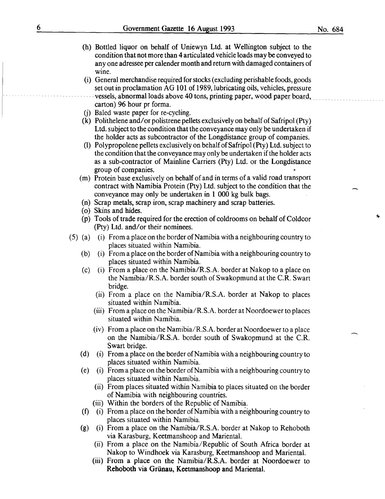- (h) Bottled liquor on behalf of Uniewyn Ltd. at Wellington subject to the condition that not more than 4 articulated vehicle loads may be conveyed to any one adressee per calender month and return with damaged containers of wine.
- (i) General merchandise required for stocks (excluding perishable foods, goods set out in proclamation AG 101 of 1989, lubricating oils, vehicles, pressure vessels,-abnormal loads-above 40 tons, printing paper, wood paper board, carton) 96 hour pr forma.
- (j) Baled waste paper for re-cycling.
- (k) Polithelene and/or polistrene pellets exclusively on behalf of Safripol (Pty) Ltd. subject to the condition that the conveyance may only be undertaken if the holder acts as subcontractor of the Longdistance group of companies.
- (1) Polypropolene pellets exclusively on behalf of Safripol  $(Pty)$  Ltd. subject to the condition that the conveyance may only be undertaken if the holder acts as a sub-contractor of Mainline Carriers (Pty) Ltd. or the Longdistance group of companies.
- (m) Protein base exclusively on behalf of and in terms of a valid road transport contract with Namibia Protein (Pty) Ltd. subject to the condition that the conveyance may only be undertaken in 1 000 kg bulk bags.
- (n) Scrap metals, scrap iron, scrap machinery and scrap batteries.
- ( o) Skins and hides.
- (p) Tools of trade required for the erection of coldrooms on behalf of Coldcor (Pty) Ltd. and/or their nominees.
- (5) (a) (i) From a place on the border of Namibia with a neighbouring country to places situated within Namibia.
	- (b) (i) From a place on the border of Namibia with a neighbouring country to places situated within Namibia.
	- (c) (i) From a place on the Namibia/R.S.A. border at Nakop to a place on the Namibia/R.S.A. border south of Swakopmund at the C.R. Swart bridge.
		- (ii) From a place on the Namibia/R.S.A. border at Nakop to places situated within Namibia.
		- (iii) From a place on the Namibia/R.S.A. border at Noordoewer to places situated within Namibia.
		- (iv) From a place on the Namibia/R.S.A. border at Noordoewer to a place on the Namibia/R.S.A. border south of Swakopmund at the C.R. Swart bridge.
	- (d) (i) From a place on the border of Namibia with a neighbouring country to places situated within Namibia.
	- (e) (i) From a place on the border of Namibia with a neighbouring country to places situated within Namibia.
		- (ii) From places situated within Namibia to places situated on the border of Namibia with neighbouring countries.
		- (iii) Within the borders of the Republic of Namibia.
	- (f) (i) From a place on the border of Namibia with a neighbouring country to places situated within Namibia.
	- (g) (i) From a place on the Namibia/R.S.A. border at Nakop to Rehoboth via Karasburg, Keetmanshoop and Mariental.
		- (ii) From a place on the Namibia/Republic of South Africa border at Nakop to Windhoek via Karasburg, Keetmanshoop and Mariental.
		- (iii) From a place on the Namibia/R.S.A. border at Noordoewer to Rehoboth via Griinau, Keetmanshoop and Mariental.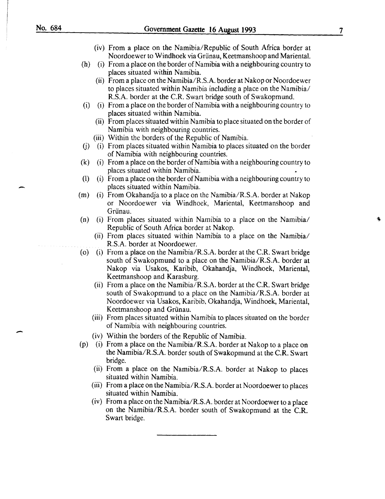-

- (iv) From a place on the Namibia/Republic of South Africa border at Noordoewer to Windhoek via Grünau, Keetmanshoop and Mariental.
- (h) (i) From a place on the border of Namibia with a neighbouring country to places situated within Namibia.
	- (ii) From a place on the Namibia/R.S.A. border at Nakop or Noordoewer to places situated within Namibia including a place on the Namibia/ R.S.A. border at the C.R. Swart bridge south of Swakopmund.
- (i) (i) From a place on the border of Namibia with a neighbouring country to places situated within Namibia.
	- (ii) From places situated within Namibia to place situated on the border of Namibia with neighbouring countries.
	- (iii) Within the borders of the Republic of Namibia.
- (j) (i) From places situated within Namibia to places situated on the border of Namibia with neighbouring countries.
- (k) (i) From a place on the border of Namibia with a neighbouring country to places situated within Namibia.
- (l) (i) From a place on the border of Namibia with a neighbouring country to places situated within Namibia.
- (m) (i) From Okahandja to a place on the Namibia/R.S.A. border at Nakop or Noordoewer via Windhoek, Mariental, Keetmanshoop and Grünau.
- (n) (i) From places situated within Namibia to a place on the Namibia/ Republic of South Africa border at Nakop.
	- (ii) From places situated within Namibia to a place on the Namibia/ R.S.A. border at Noordoewer.
- (o) (i) From a place on the Namibia/R.S.A. border at the C.R. Swart bridge south of Swakopmund to a place on the Namibia/R.S.A. border at Nakop via Usakos, Karibib, Okahandja, Windhoek, Mariental, Keetmanshoop and Karasburg.
	- (ii) From a place on the Namibia/R.S.A. border at the C.R. Swart bridge south of Swakopmund to a place on the Namibia/R.S.A. border at Noordoewer via Usakos, Karibib, Okahandja, Windhoek, Mariental, Keetmanshoop and Grünau.
	- (iii) From places situated within Namibia to places situated on the border of Namibia with neighbouring countries.
	- (iv) Within the borders of the Republic of Namibia.
- (p) (i) From a place on the Namibia/R.S.A. border at Nakop to a place on the Namibia/R.S.A. border south of Swakopmund at the C.R. Swart bridge.
	- (ii) From a place on the Namibia/R.S.A. border at Nakop to places situated within Namibia.
	- (iii) From a place on the Namibia/R.S.A. border at Noordoewer to places situated within Namibia.
	- (iv) From a place on the Namibia/R.S.A. border at Noordoewer to a place on the Namibia/R.S.A. border south of Swakopmund at the C.R. Swart bridge.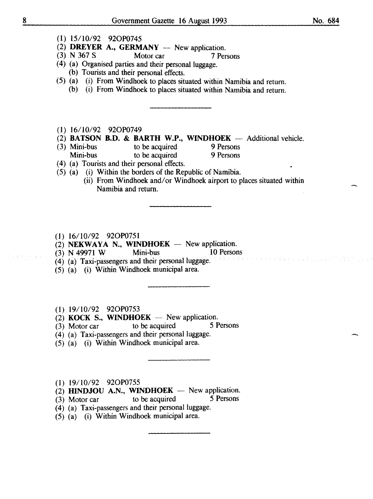- (1) 15/10/92 920P0745
- (2) **DREYER A., GERMANY** New application.<br>
(3) N 367 S Motor car 7 Per
- (3) N 367 S Motor car 7 Persons
- ( 4) (a) Organised parties and their personal luggage.
- (b) Tourists and their personal effects.
- (5) (a) (i) From Windhoek to places situated within Namibia and return.
	- (b) (i) From Windhoek to places situated within Namibia and return.
- (1) 16/10/92 920P0749
- (2) **BATSON B.D. & BARTH W.P., WINDHOEK** Additional vehicle.<br>(3) Mini-bus to be acquired 9 Persons
- Mini-bus to be acquired 9 Persons<br>
Mini-bus to be acquired 9 Persons to be acquired
- ( 4) (a) Tourists and their personal effects.
- (5) (a) (i) Within the borders of the Republic of Namibia.
	- (ii) From Windhoek and/or Windhoek airport to places situated within Namibia and return.
- (1) 16/10/92 920P0751
- (2) NEKWAYA N., WINDHOEK New application.<br>
(3) N 49971 W Mini-bus 10 Persons
- (3) N 49971 W Mini-bus 10 Persons
- (4) (a) Taxi-passengers and their personal luggage.
- $(5)$   $(a)$   $(i)$  Within Windhoek municipal area.
- (1) 19/10/92 920P0753
- (2) KOCK S., WINDHOEK  $-$  New application.
- $(3)$  Motor car to be acquired 5 Persons
- (4) (a) Taxi-passengers and their personal luggage.
- (5) (a) (i) Within Windhoek municipal area.
- (1) 19/10/92 920P0755
- (2) HINDJOU A.N., WINDHOEK -- New application.<br>(3) Motor car to be acquired 5 Persons
- $(3)$  Motor car to be acquired
- (4) (a) Taxi-passengers and their personal luggage.
- $(5)$   $(a)$   $(i)$  Within Windhoek municipal area.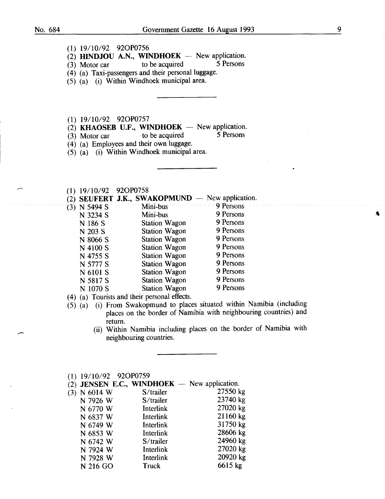$\overline{\phantom{a}}$ 

- (1) 19/10/92 920P0756
- (2) HINDJOU A.N., WINDHOEK New application.<br>(3) Motor car to be acquired 5 Persons
- (3) Motor car
- (4) (a) Taxi-passengers and their personal luggage.
- (5) (a) (i) Within Windhoek municipal area.
- (1) 19/10/92 920P0757
- (2) KHAOSEB U.F., WINDHOEK New application.<br>
(3) Motor car to be acquired 5 Persons
- $(3)$  Motor car to be acquired
- (4) (a) Employees and their own luggage.
- (5) (a) (i) Within Windhoek municipal area.
- (1) 19/10/92 920P0758
- $(2)$  SEUFERT J.K., SWAKOPMUND New application.

| $(3)$ N 5494 S | Mini-bus 9 Persons   |           |
|----------------|----------------------|-----------|
| N 3234 S       | Mini-bus             | 9 Persons |
| N 186 S        | <b>Station Wagon</b> | 9 Persons |
| N 203 S        | <b>Station Wagon</b> | 9 Persons |
| N 8066 S       | <b>Station Wagon</b> | 9 Persons |
| N 4100 S       | <b>Station Wagon</b> | 9 Persons |
| N 4755 S       | <b>Station Wagon</b> | 9 Persons |
| N 5777 S       | <b>Station Wagon</b> | 9 Persons |
| N 6101 S       | <b>Station Wagon</b> | 9 Persons |
| N 5817 S       | <b>Station Wagon</b> | 9 Persons |
| N 1070 S       | <b>Station Wagon</b> | 9 Persons |
|                |                      |           |

( 4) (a) Tourists and their personal effects.

- (5) (a) (i) From Swakopmund to places situated within Namibia (including places on the border of Namibia with neighbouring countries) and return.
	- (ii) Within Namibia including places on the border of Namibia with neighbouring countries.

|     | $(1)$ 19/10/92 92OP0759 |                                                |          |
|-----|-------------------------|------------------------------------------------|----------|
|     |                         | (2) JENSEN E.C., WINDHOEK $-$ New application. |          |
| (3) | N 6014 W                | S/trailer                                      | 27550 kg |
|     | N 7926 W                | S/trailer                                      | 23740 kg |
|     | N 6770 W                | Interlink                                      | 27020 kg |
|     | N 6837 W                | Interlink                                      | 21160 kg |
|     | N 6749 W                | Interlink                                      | 31750 kg |
|     | N 6853 W                | Interlink                                      | 28606 kg |
|     | N 6742 W                | S/trailer                                      | 24960 kg |
|     | N 7924 W                | Interlink                                      | 27020 kg |
|     | N 7928 W                | Interlink                                      | 20920 kg |
|     | N 216 GO                | Truck                                          | 6615 kg  |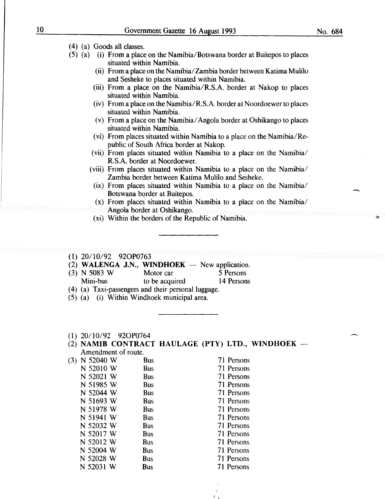-

( 4) (a) Goods all classes.

- (5) (a) (i) From a place on the Namibia/Botswana border at Buitepos to places situated within Namibia.
	- (ii) From a place on the Namibia/ Zambia border between Katima Mulilo and Sesheke to places situated within Namibia.
	- (iii) From a place on the Namibia/R.S.A. border at Nakop to places situated within Namibia.
	- (iv) From a place on the Namibia/R.S.A. border at Noordoewer to places situated within Namibia.
	- (v) From a place on the Namibia/ Angola border at Oshikango to places situated within Namibia.
	- (vi) From places situated within Namibia to a place on the Namibia/Republic of South Africa border at Nakop.
	- (vii) From places situated within Namibia to a place on the Namibia/ R.S.A. border at Noordoewer.
	- (viii) From places situated within Namibia to a place on the Namibia/ Zambia border between Katima Mulilo and Sesheke.
		- (ix) From places situated within Namibia to a place on the Namibia/ Botswana border at Buitepos.
		- (x) From places situated within Namibia to a place on the Namibia/
		- Angola border at Oshikango.
	- **EXIC Angola porder at Osmkango.** Analytical component and contained and contained and contained and contained and contained and contained and contained and contained and contained and contained and contained and contained

(1) 20/10/92 920P0763

- (2) WALENGA J.N., WINDHOEK  $-$  New application.
- (3) N 5083 W Motor car 5 Persons
	- Mini-bus to be acquired 14 Persons
- ( 4) (a) Taxi-passengers and their personal luggage.
- (5) (a) (i) Within Windhoek municipal area.
- (1) 20/10/92 920P0764
- (2) NAMIB CONTRACT HAULAGE (PTY) LTD., WINDHOEK Amendment of route.

| N 52040 W | Bus        | 71 Persons |
|-----------|------------|------------|
| N 52010 W | <b>Bus</b> | 71 Persons |
| N 52021 W | <b>Bus</b> | 71 Persons |
| N 51985 W | Bus        | 71 Persons |
| N 52044 W | <b>Bus</b> | 71 Persons |
| N 51693 W | <b>Bus</b> | 71 Persons |
| N 51978 W | <b>Bus</b> | 71 Persons |
| N 51941 W | <b>Bus</b> | 71 Persons |
| N 52032 W | <b>Bus</b> | 71 Persons |
| N 52017 W | <b>Bus</b> | 71 Persons |
| N 52012 W | Bus        | 71 Persons |
| N 52004 W | <b>Bus</b> | 71 Persons |
| N 52028 W | Bus        | 71 Persons |
| N 52031 W | Bus        | 71 Persons |
|           |            |            |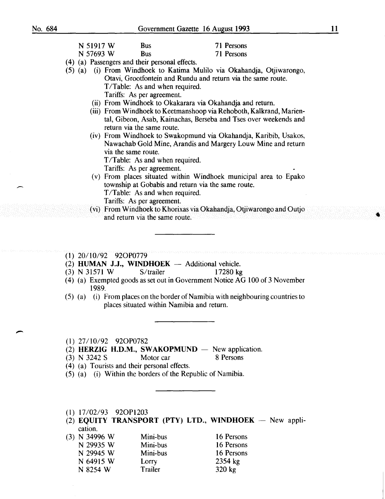$\overline{\phantom{0}}$ 

|                         |                                                              | OOVGIHIIGHt Gazette TO August 1999                                                                                                      |  |
|-------------------------|--------------------------------------------------------------|-----------------------------------------------------------------------------------------------------------------------------------------|--|
| N 51917 W               | <b>Bus</b>                                                   | 71 Persons                                                                                                                              |  |
| N 57693 W               | <b>Bus</b>                                                   | 71 Persons                                                                                                                              |  |
|                         | (4) (a) Passengers and their personal effects.               |                                                                                                                                         |  |
| $(5)$ (a)               | T/Table: As and when required.<br>Tariffs: As per agreement. | (i) From Windhoek to Katima Mulilo via Okahandja, Otjiwarongo,<br>Otavi, Grootfontein and Rundu and return via the same route.          |  |
|                         |                                                              | (ii) From Windhoek to Okakarara via Okahandja and return.                                                                               |  |
|                         | return via the same route.                                   | (iii) From Windhoek to Keetmanshoop via Rehoboth, Kalkrand, Marien-<br>tal, Gibeon, Asab, Kainachas, Berseba and Tses over weekends and |  |
|                         | via the same route.<br>T/Table: As and when required.        | (iv) From Windhoek to Swakopmund via Okahandja, Karibib, Usakos,<br>Nawachab Gold Mine, Arandis and Margery Louw Mine and return        |  |
|                         | Tariffs: As per agreement.                                   |                                                                                                                                         |  |
|                         | T/Table: As and when required.<br>Tariffs: As per agreement. | (v) From places situated within Windhoek municipal area to Epako<br>township at Gobabis and return via the same route.                  |  |
|                         | and return via the same route.                               | (vi) From Windhoek to Khorixas via Okahandja, Otjiwarongo and Outjo                                                                     |  |
| $(1)$ 20/10/92 92OP0779 |                                                              |                                                                                                                                         |  |
|                         |                                                              | (2) HUMAN J.J., WINDHOEK - Additional vehicle.                                                                                          |  |
| $(3)$ N 31571 W         | S/trailer                                                    | 17280 kg                                                                                                                                |  |
| 1989.                   |                                                              | (4) (a) Exempted goods as set out in Government Notice AG 100 of 3 November                                                             |  |
|                         |                                                              | (5) (a) (i) From places on the border of Namibia with neighbouring countries to<br>places situated within Namibia and return.           |  |
| $(1)$ 27/10/92 92OP0782 |                                                              | $(2)$ HERZIC H D M SWAKOPMIND $\equiv$ New application                                                                                  |  |

(2) HERZIG H.D.M., SWAKOPMUND  $-$  New application.

| $(3)$ N 3242 S | Motor car                                                                                                                       | 8 Persons |
|----------------|---------------------------------------------------------------------------------------------------------------------------------|-----------|
|                | $7.45 \times 10^{-1}$ T $^{-1}$ $^{-1}$ $^{-1}$ $^{-1}$ $^{-1}$ $^{-1}$ $^{-1}$ $^{-1}$ $^{-1}$ $^{-1}$ $^{-1}$ $^{-1}$ $^{-1}$ |           |

- ( 4) (a) Tourists and their personal effects.
- (5) (a) (i) Within the borders of the Republic of Namibia.
- (1) 17/02/93 920P1203
- $(2)$  EQUITY TRANSPORT (PTY) LTD., WINDHOEK New application.

| (3) N 34996 W |           | Mini-bus | 16 Persons |
|---------------|-----------|----------|------------|
|               | N 29935 W | Mini-bus | 16 Persons |
|               | N 29945 W | Mini-bus | 16 Persons |
|               | N 64915 W | Lorry    | 2354 kg    |
|               | N 8254 W  | Trailer  | 320 kg     |
|               |           |          |            |